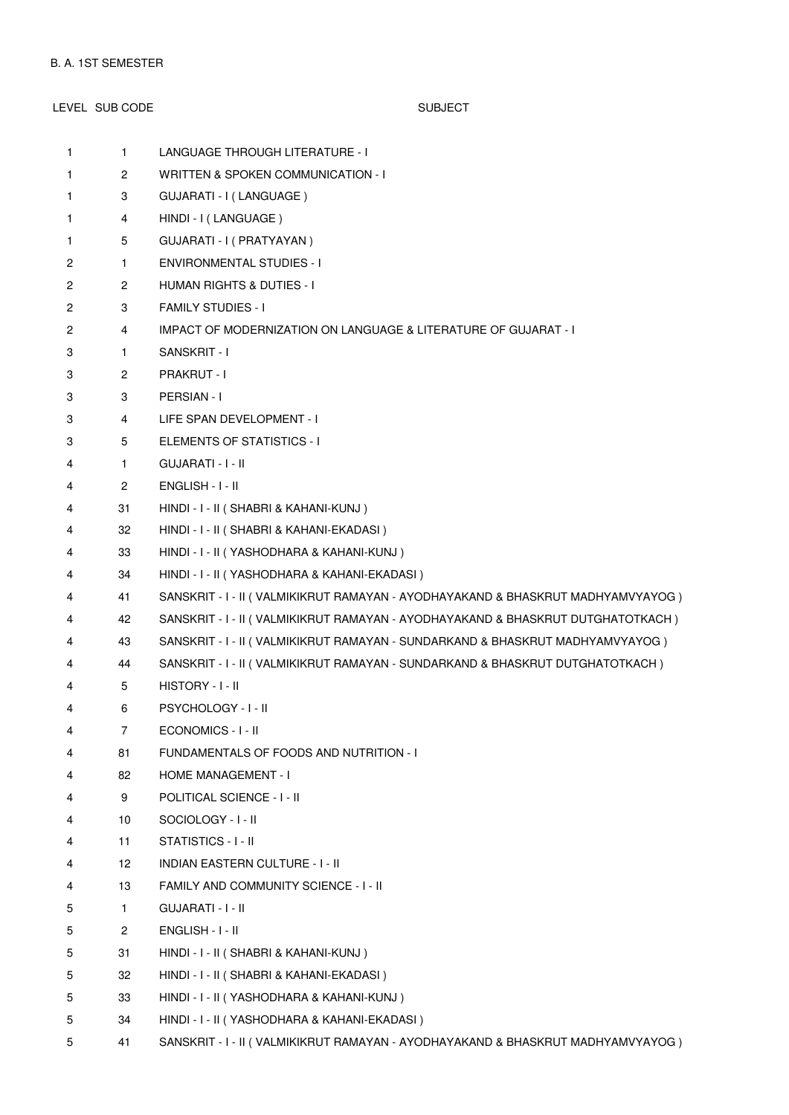LEVEL SUB CODE SUBJECT 1 **LANGUAGE THROUGH LITERATURE - I** 1 2 WRITTEN & SPOKEN COMMUNICATION - I 1 3 GUJARATI - I (LANGUAGE ) 1 4 HINDI - I (LANGUAGE ) 1 5 GUJARATI - I ( PRATYAYAN ) 2 1 ENVIRONMENTAL STUDIES - I 2 2 HUMAN RIGHTS & DUTIES - I 2 3 FAMILY STUDIES - I 2 4 IMPACT OF MODERNIZATION ON LANGUAGE & LITERATURE OF GUJARAT - I 3 1 SANSKRIT - I 3 2 PRAKRUT - I 3 3 PERSIAN - I 3 4 LIFE SPAN DEVELOPMENT - I 3 5 ELEMENTS OF STATISTICS - I 4 1 GUJARATI - I - II 4 2 ENGLISH - I - II 4 31 HINDI - I - II ( SHABRI & KAHANI-KUNJ ) 4 32 HINDI - I - II ( SHABRI & KAHANI-EKADASI ) 4 33 HINDI - I - II ( YASHODHARA & KAHANI-KUNJ ) 4 34 HINDI - I - II ( YASHODHARA & KAHANI-EKADASI ) 4 41 SANSKRIT - I - II ( VALMIKIKRUT RAMAYAN - AYODHAYAKAND & BHASKRUT MADHYAMVYAYOG ) 4 42 SANSKRIT - I - II ( VALMIKIKRUT RAMAYAN - AYODHAYAKAND & BHASKRUT DUTGHATOTKACH ) 4 43 SANSKRIT - I - II ( VALMIKIKRUT RAMAYAN - SUNDARKAND & BHASKRUT MADHYAMVYAYOG ) 4 44 SANSKRIT - I - II ( VALMIKIKRUT RAMAYAN - SUNDARKAND & BHASKRUT DUTGHATOTKACH ) 4 5 HISTORY - I - II

- 4 6 PSYCHOLOGY I II
- 4 7 ECONOMICS I II
- 4 81 FUNDAMENTALS OF FOODS AND NUTRITION I
- 4 82 HOME MANAGEMENT I
- 4 9 POLITICAL SCIENCE I II
- 4 10 SOCIOLOGY I II
- 4 11 STATISTICS I II
- 4 12 INDIAN EASTERN CULTURE I II
- 4 13 FAMILY AND COMMUNITY SCIENCE I II
- 5 1 GUJARATI I II
- 5 2 ENGLISH I II
- 5 31 HINDI I II ( SHABRI & KAHANI-KUNJ )
- 5 32 HINDI I II ( SHABRI & KAHANI-EKADASI )
- 5 33 HINDI I II ( YASHODHARA & KAHANI-KUNJ )
- 5 34 HINDI I II ( YASHODHARA & KAHANI-EKADASI )
- 5 41 SANSKRIT I II ( VALMIKIKRUT RAMAYAN AYODHAYAKAND & BHASKRUT MADHYAMVYAYOG )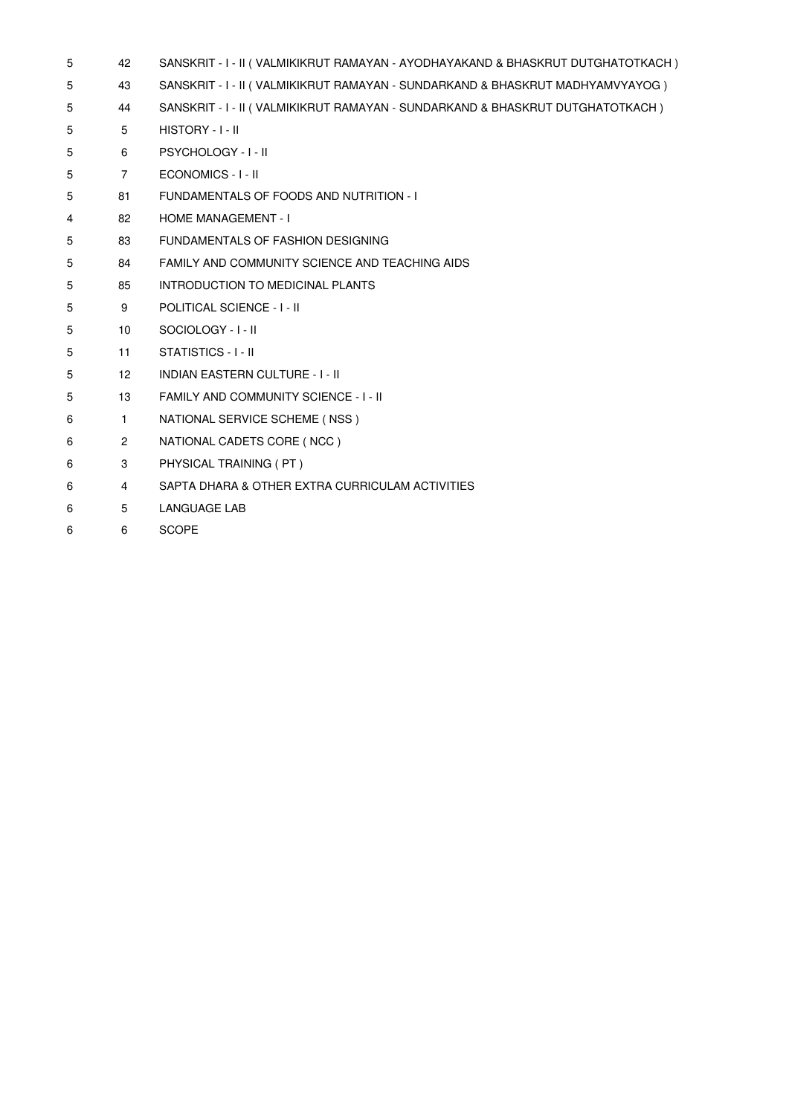| 5 | 42                    | SANSKRIT - I - II ( VALMIKIKRUT RAMAYAN - AYODHAYAKAND & BHASKRUT DUTGHATOTKACH ) |
|---|-----------------------|-----------------------------------------------------------------------------------|
| 5 | 43                    | SANSKRIT - I - II (VALMIKIKRUT RAMAYAN - SUNDARKAND & BHASKRUT MADHYAMVYAYOG)     |
| 5 | 44                    | SANSKRIT - I - II (VALMIKIKRUT RAMAYAN - SUNDARKAND & BHASKRUT DUTGHATOTKACH)     |
| 5 | 5                     | HISTORY - I - II                                                                  |
| 5 | 6                     | <b>PSYCHOLOGY - I - II</b>                                                        |
| 5 | $\overline{7}$        | ECONOMICS - I - II                                                                |
| 5 | 81                    | FUNDAMENTALS OF FOODS AND NUTRITION - I                                           |
| 4 | 82                    | <b>HOME MANAGEMENT - I</b>                                                        |
| 5 | 83                    | FUNDAMENTALS OF FASHION DESIGNING                                                 |
| 5 | 84                    | FAMILY AND COMMUNITY SCIENCE AND TEACHING AIDS                                    |
| 5 | 85                    | INTRODUCTION TO MEDICINAL PLANTS                                                  |
| 5 | 9                     | <b>POLITICAL SCIENCE - I - II</b>                                                 |
| 5 | 10 <sup>1</sup>       | SOCIOLOGY - I - II                                                                |
| 5 | 11                    | STATISTICS - I - II                                                               |
| 5 | 12 <sup>°</sup>       | <b>INDIAN EASTERN CULTURE - I - II</b>                                            |
| 5 | 13                    | FAMILY AND COMMUNITY SCIENCE - I - II                                             |
| 6 | $\mathbf{1}$          | NATIONAL SERVICE SCHEME (NSS)                                                     |
| 6 | $\mathbf{2}^{\prime}$ | NATIONAL CADETS CORE (NCC)                                                        |
| 6 | 3                     | PHYSICAL TRAINING (PT)                                                            |
| 6 | 4                     | SAPTA DHARA & OTHER EXTRA CURRICULAM ACTIVITIES                                   |
| 6 | 5                     | LANGUAGE LAB                                                                      |
| 6 | 6                     | <b>SCOPE</b>                                                                      |
|   |                       |                                                                                   |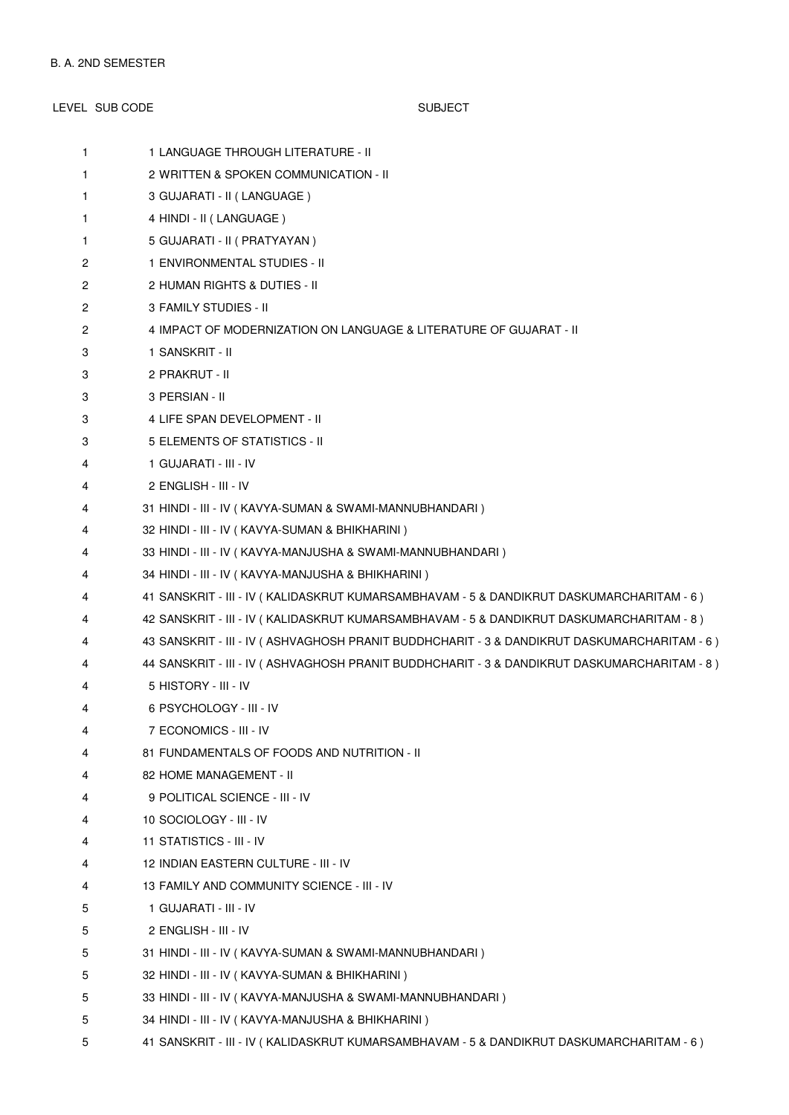LEVEL SUB CODE SUBJECT 1 1 LANGUAGE THROUGH LITERATURE - II 1 2 WRITTEN & SPOKEN COMMUNICATION - II 1 3 GUJARATI - II ( LANGUAGE ) 1 4 HINDI - II (LANGUAGE) 1 5 GUJARATI - II ( PRATYAYAN ) 2 1 ENVIRONMENTAL STUDIES - II 2 2 HUMAN RIGHTS & DUTIES - II 2 3 FAMILY STUDIES - II 2 4 IMPACT OF MODERNIZATION ON LANGUAGE & LITERATURE OF GUJARAT - II 3 1 SANSKRIT - II 3 2 PRAKRUT - II 3 3 PERSIAN - II 3 4 LIFE SPAN DEVELOPMENT - II

- 3 5 ELEMENTS OF STATISTICS II
- 4 1 GUJARATI III IV
- 4 2 ENGLISH III IV
- 4 31 HINDI III IV ( KAVYA-SUMAN & SWAMI-MANNUBHANDARI )
- 4 32 HINDI III IV ( KAVYA-SUMAN & BHIKHARINI )
- 4 33 HINDI III IV ( KAVYA-MANJUSHA & SWAMI-MANNUBHANDARI )
- 4 34 HINDI III IV ( KAVYA-MANJUSHA & BHIKHARINI )
- 4 41 SANSKRIT III IV ( KALIDASKRUT KUMARSAMBHAVAM 5 & DANDIKRUT DASKUMARCHARITAM 6 )
- 4 42 SANSKRIT III IV ( KALIDASKRUT KUMARSAMBHAVAM 5 & DANDIKRUT DASKUMARCHARITAM 8 )
- 4 43 SANSKRIT III IV ( ASHVAGHOSH PRANIT BUDDHCHARIT 3 & DANDIKRUT DASKUMARCHARITAM 6 )
- 4 44 SANSKRIT III IV ( ASHVAGHOSH PRANIT BUDDHCHARIT 3 & DANDIKRUT DASKUMARCHARITAM 8 )
- 4 5 HISTORY III IV
- 4 6 PSYCHOLOGY III IV
- 4 7 ECONOMICS III IV
- 4 81 FUNDAMENTALS OF FOODS AND NUTRITION II
- 4 82 HOME MANAGEMENT II
- 4 9 POLITICAL SCIENCE III IV
- 4 10 SOCIOLOGY III IV
- 4 11 STATISTICS III IV
- 4 12 INDIAN EASTERN CULTURE III IV
- 4 13 FAMILY AND COMMUNITY SCIENCE III IV
- 5 1 GUJARATI III IV
- 5 2 ENGLISH III IV
- 5 31 HINDI III IV ( KAVYA-SUMAN & SWAMI-MANNUBHANDARI )
- 5 32 HINDI III IV ( KAVYA-SUMAN & BHIKHARINI )
- 5 33 HINDI III IV ( KAVYA-MANJUSHA & SWAMI-MANNUBHANDARI )
- 5 34 HINDI III IV ( KAVYA-MANJUSHA & BHIKHARINI )
- 5 41 SANSKRIT III IV ( KALIDASKRUT KUMARSAMBHAVAM 5 & DANDIKRUT DASKUMARCHARITAM 6 )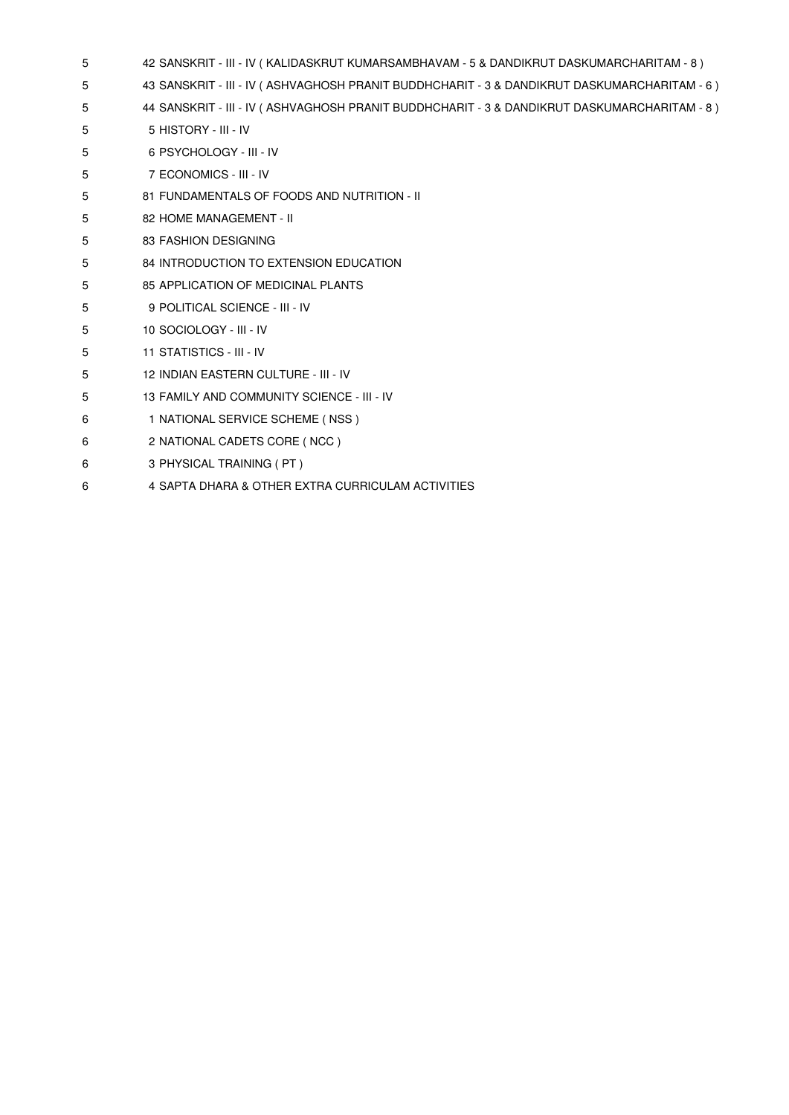|  | 42 SANSKRIT - III - IV ( KALIDASKRUT KUMARSAMBHAVAM - 5 & DANDIKRUT DASKUMARCHARITAM - 8 ) |  |
|--|--------------------------------------------------------------------------------------------|--|
|--|--------------------------------------------------------------------------------------------|--|

- 5 43 SANSKRIT III IV ( ASHVAGHOSH PRANIT BUDDHCHARIT 3 & DANDIKRUT DASKUMARCHARITAM 6 )
- 5 44 SANSKRIT III IV ( ASHVAGHOSH PRANIT BUDDHCHARIT 3 & DANDIKRUT DASKUMARCHARITAM 8 )
- 5 5 HISTORY III IV
- 5 6 PSYCHOLOGY III IV
- 5 7 ECONOMICS III IV
- 5 81 FUNDAMENTALS OF FOODS AND NUTRITION II
- 5 82 HOME MANAGEMENT II
- 5 83 FASHION DESIGNING
- 5 84 INTRODUCTION TO EXTENSION EDUCATION
- 5 85 APPLICATION OF MEDICINAL PLANTS
- 5 9 POLITICAL SCIENCE III IV
- 5 10 SOCIOLOGY III IV
- 5 11 STATISTICS III IV
- 5 12 INDIAN EASTERN CULTURE III IV
- 5 13 FAMILY AND COMMUNITY SCIENCE III IV
- 6 1 NATIONAL SERVICE SCHEME ( NSS )
- 6 2 NATIONAL CADETS CORE ( NCC )
- 6 3 PHYSICAL TRAINING ( PT )
- 6 4 SAPTA DHARA & OTHER EXTRA CURRICULAM ACTIVITIES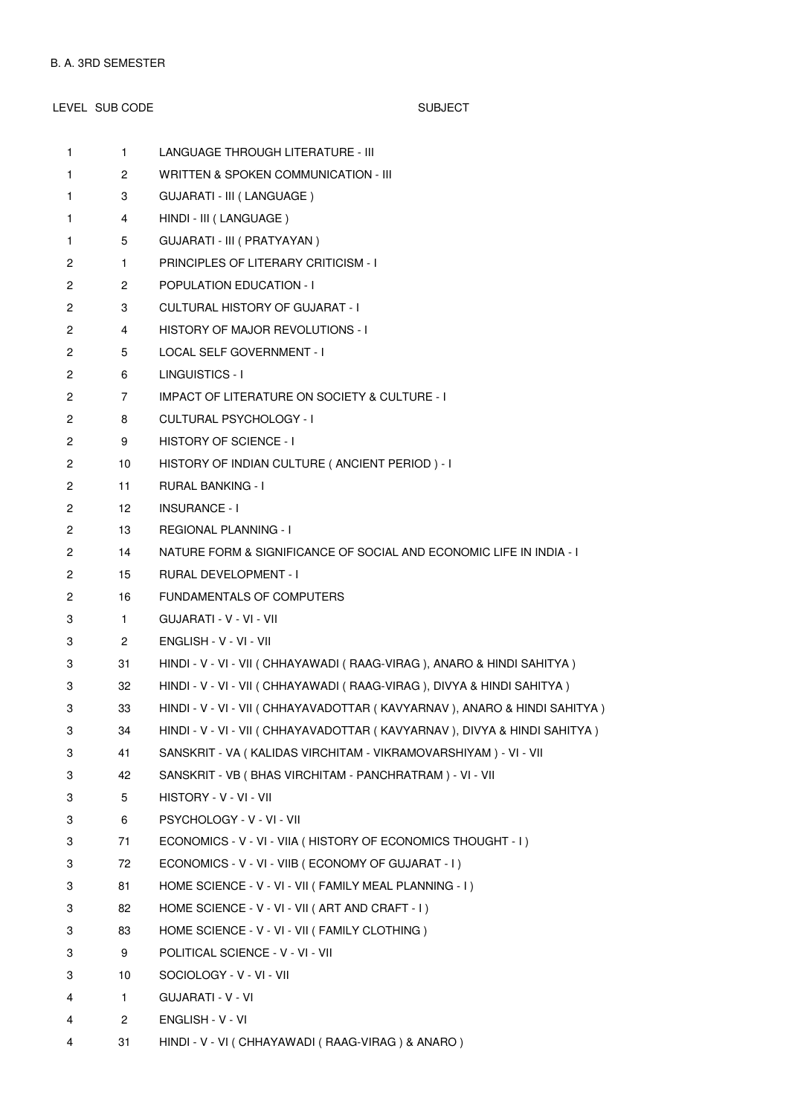LEVEL SUB CODE SUBJECT 1 **LANGUAGE THROUGH LITERATURE - III** 1 2 WRITTEN & SPOKEN COMMUNICATION - III 1 3 GUJARATI - III (LANGUAGE ) 1 4 HINDI - III (LANGUAGE)

1 5 GUJARATI - III ( PRATYAYAN ) 2 1 PRINCIPLES OF LITERARY CRITICISM - I 2 2 POPULATION EDUCATION - I 2 3 CULTURAL HISTORY OF GUJARAT - I 2 4 HISTORY OF MAJOR REVOLUTIONS - I 2 5 LOCAL SELF GOVERNMENT - I 2 6 LINGUISTICS - I 2 7 IMPACT OF LITERATURE ON SOCIETY & CULTURE - I 2 8 CULTURAL PSYCHOLOGY - I 2 9 HISTORY OF SCIENCE - I 2 10 HISTORY OF INDIAN CULTURE ( ANCIENT PERIOD ) - I 2 11 RURAL BANKING - I 2 12 INSURANCE - I 2 13 REGIONAL PLANNING - I 2 14 NATURE FORM & SIGNIFICANCE OF SOCIAL AND ECONOMIC LIFE IN INDIA - I 2 15 RURAL DEVELOPMENT - I 2 16 FUNDAMENTALS OF COMPUTERS 3 1 GUJARATI - V - VI - VII 3 2 ENGLISH - V - VI - VII 3 31 HINDI - V - VI - VII ( CHHAYAWADI ( RAAG-VIRAG ), ANARO & HINDI SAHITYA ) 3 32 HINDI - V - VI - VII ( CHHAYAWADI ( RAAG-VIRAG ), DIVYA & HINDI SAHITYA ) 3 33 HINDI - V - VI - VII ( CHHAYAVADOTTAR ( KAVYARNAV ), ANARO & HINDI SAHITYA ) 3 34 HINDI - V - VI - VII ( CHHAYAVADOTTAR ( KAVYARNAV ), DIVYA & HINDI SAHITYA ) 3 41 SANSKRIT - VA ( KALIDAS VIRCHITAM - VIKRAMOVARSHIYAM ) - VI - VII 3 42 SANSKRIT - VB ( BHAS VIRCHITAM - PANCHRATRAM ) - VI - VII 3 5 HISTORY - V - VI - VII 3 6 PSYCHOLOGY - V - VI - VII 3 71 ECONOMICS - V - VI - VIIA ( HISTORY OF ECONOMICS THOUGHT - I ) 3 72 ECONOMICS - V - VI - VIIB ( ECONOMY OF GUJARAT - I ) 3 81 HOME SCIENCE - V - VI - VII ( FAMILY MEAL PLANNING - I ) 3 82 HOME SCIENCE - V - VI - VII ( ART AND CRAFT - I ) 3 83 HOME SCIENCE - V - VI - VII ( FAMILY CLOTHING ) 3 9 POLITICAL SCIENCE - V - VI - VII 3 10 SOCIOLOGY - V - VI - VII 4 1 GUJARATI - V - VI 4 2 ENGLISH - V - VI

4 31 HINDI - V - VI ( CHHAYAWADI ( RAAG-VIRAG ) & ANARO )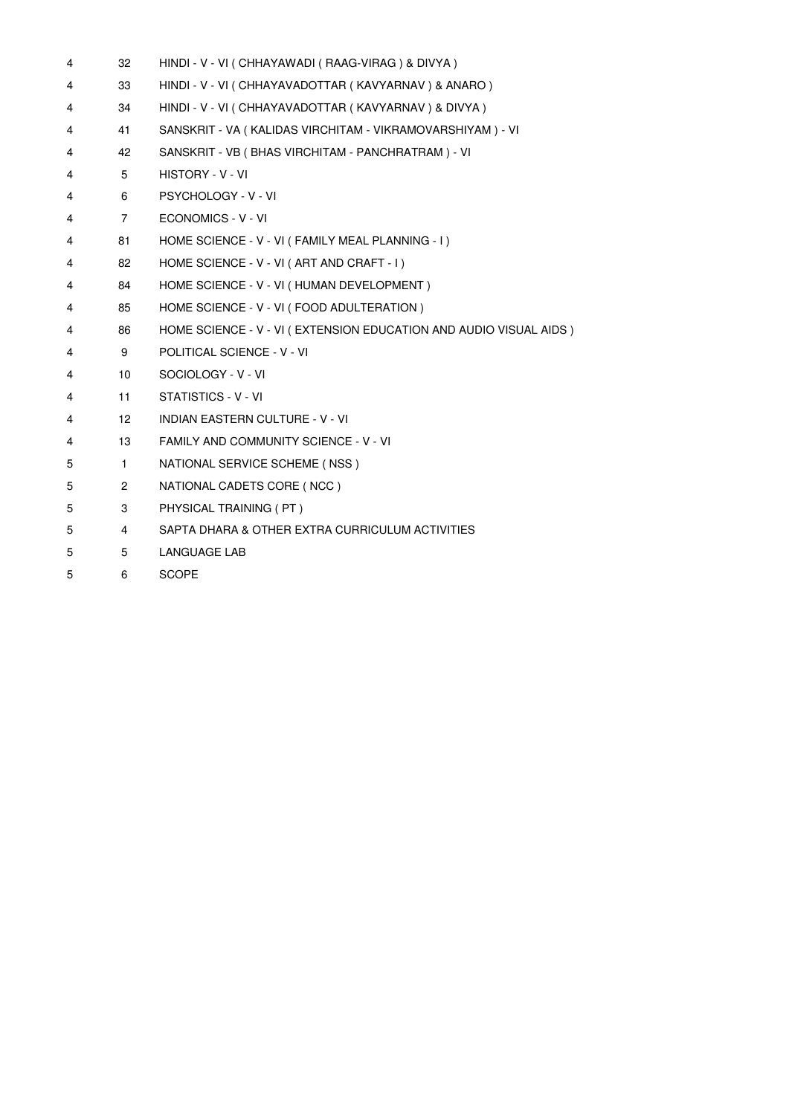| 4 | 32              | HINDI - V - VI ( CHHAYAWADI ( RAAG-VIRAG ) & DIVYA )              |
|---|-----------------|-------------------------------------------------------------------|
| 4 | 33              | HINDI - V - VI ( CHHAYAVADOTTAR ( KAVYARNAV ) & ANARO )           |
| 4 | 34              | HINDI - V - VI ( CHHAYAVADOTTAR ( KAVYARNAV ) & DIVYA )           |
| 4 | 41              | SANSKRIT - VA (KALIDAS VIRCHITAM - VIKRAMOVARSHIYAM) - VI         |
| 4 | 42              | SANSKRIT - VB (BHAS VIRCHITAM - PANCHRATRAM) - VI                 |
| 4 | 5               | HISTORY - V - VI                                                  |
| 4 | 6               | <b>PSYCHOLOGY - V - VI</b>                                        |
| 4 | $\overline{7}$  | ECONOMICS - V - VI                                                |
| 4 | 81              | HOME SCIENCE - V - VI ( FAMILY MEAL PLANNING - I )                |
| 4 | 82              | HOME SCIENCE - V - VI (ART AND CRAFT - I)                         |
| 4 | 84              | HOME SCIENCE - V - VI ( HUMAN DEVELOPMENT )                       |
| 4 | 85              | HOME SCIENCE - V - VI (FOOD ADULTERATION)                         |
| 4 | 86              | HOME SCIENCE - V - VI (EXTENSION EDUCATION AND AUDIO VISUAL AIDS) |
| 4 | 9               | POLITICAL SCIENCE - V - VI                                        |
| 4 | 10              | SOCIOLOGY - V - VI                                                |
| 4 | 11              | STATISTICS - V - VI                                               |
| 4 | 12 <sup>2</sup> | <b>INDIAN EASTERN CULTURE - V - VI</b>                            |
| 4 | 13              | FAMILY AND COMMUNITY SCIENCE - V - VI                             |
| 5 | $\mathbf{1}$    | NATIONAL SERVICE SCHEME (NSS)                                     |
| 5 | $\overline{2}$  | NATIONAL CADETS CORE (NCC)                                        |
| 5 | 3               | PHYSICAL TRAINING (PT)                                            |
| 5 | 4               | SAPTA DHARA & OTHER EXTRA CURRICULUM ACTIVITIES                   |
| 5 | 5               | <b>LANGUAGE LAB</b>                                               |
| 5 | 6               | <b>SCOPE</b>                                                      |
|   |                 |                                                                   |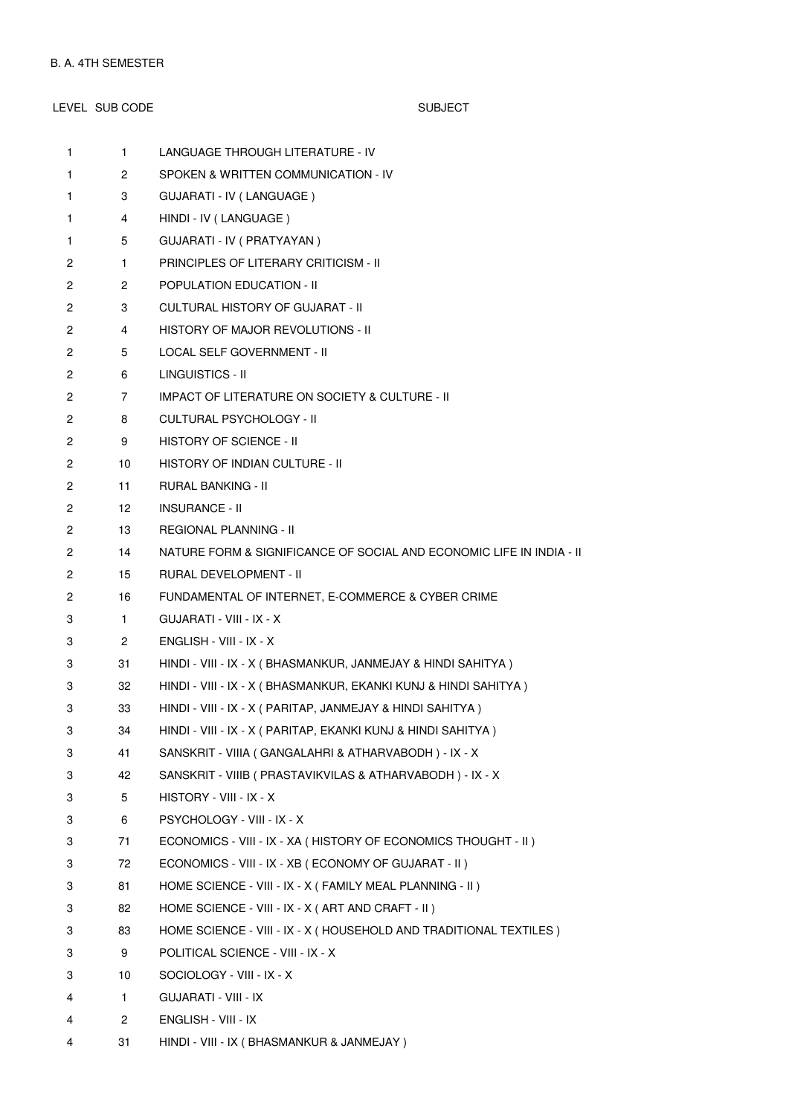# LEVEL SUB CODE SUBJECT

| $\mathbf{1}$ | $\mathbf{1}$         | LANGUAGE THROUGH LITERATURE - IV                                     |
|--------------|----------------------|----------------------------------------------------------------------|
| 1            | 2                    | SPOKEN & WRITTEN COMMUNICATION - IV                                  |
| 1            | 3                    | GUJARATI - IV (LANGUAGE)                                             |
| 1            | 4                    | HINDI - IV (LANGUAGE)                                                |
| 1            | 5                    | GUJARATI - IV ( PRATYAYAN )                                          |
| 2            | $\mathbf{1}$         | PRINCIPLES OF LITERARY CRITICISM - II                                |
| 2            | $\mathbf{2}^{\circ}$ | <b>POPULATION EDUCATION - II</b>                                     |
| 2            | 3                    | <b>CULTURAL HISTORY OF GUJARAT - II</b>                              |
| 2            | 4                    | HISTORY OF MAJOR REVOLUTIONS - II                                    |
| 2            | 5                    | LOCAL SELF GOVERNMENT - II                                           |
| 2            | 6                    | LINGUISTICS - II                                                     |
| 2            | $\overline{7}$       | IMPACT OF LITERATURE ON SOCIETY & CULTURE - II                       |
| 2            | 8                    | CULTURAL PSYCHOLOGY - II                                             |
| 2            | 9                    | HISTORY OF SCIENCE - II                                              |
| 2            | 10                   | HISTORY OF INDIAN CULTURE - II                                       |
| 2            | 11                   | RURAL BANKING - II                                                   |
| 2            | 12                   | <b>INSURANCE - II</b>                                                |
| 2            | 13                   | REGIONAL PLANNING - II                                               |
| 2            | 14                   | NATURE FORM & SIGNIFICANCE OF SOCIAL AND ECONOMIC LIFE IN INDIA - II |
| 2            | 15                   | RURAL DEVELOPMENT - II                                               |
| 2            | 16                   | FUNDAMENTAL OF INTERNET, E-COMMERCE & CYBER CRIME                    |
| 3            | $\mathbf{1}$         | GUJARATI - VIII - IX - X                                             |
| 3            | $\mathbf{2}^{\circ}$ | $ENGLISH - VIII - IX - X$                                            |
| 3            | 31                   | HINDI - VIII - IX - X ( BHASMANKUR, JANMEJAY & HINDI SAHITYA )       |
| 3            | 32                   | HINDI - VIII - IX - X ( BHASMANKUR, EKANKI KUNJ & HINDI SAHITYA )    |
| 3            | 33                   | HINDI - VIII - IX - X ( PARITAP, JANMEJAY & HINDI SAHITYA )          |
| 3            | 34                   | HINDI - VIII - IX - X ( PARITAP, EKANKI KUNJ & HINDI SAHITYA )       |
| 3            | 41                   | SANSKRIT - VIIIA (GANGALAHRI & ATHARVABODH) - IX - X                 |
| 3            | 42                   | SANSKRIT - VIIIB ( PRASTAVIKVILAS & ATHARVABODH ) - IX - X           |
| 3            | 5                    | HISTORY - VIII - IX - X                                              |
| 3            | 6                    | PSYCHOLOGY - VIII - IX - X                                           |
| 3            | 71                   | ECONOMICS - VIII - IX - XA ( HISTORY OF ECONOMICS THOUGHT - II )     |
| 3            | 72                   | ECONOMICS - VIII - IX - XB ( ECONOMY OF GUJARAT - II )               |
| 3            | 81                   | HOME SCIENCE - VIII - IX - X ( FAMILY MEAL PLANNING - II )           |
| 3            | 82                   | HOME SCIENCE - VIII - IX - X (ART AND CRAFT - II)                    |
| 3            | 83                   | HOME SCIENCE - VIII - IX - X ( HOUSEHOLD AND TRADITIONAL TEXTILES )  |
| 3            | 9                    | POLITICAL SCIENCE - VIII - IX - X                                    |
| 3            | 10                   | SOCIOLOGY - VIII - IX - X                                            |
| 4            | $\mathbf{1}$         | <b>GUJARATI - VIII - IX</b>                                          |
| 4            | 2                    | ENGLISH - VIII - IX                                                  |
| 4            | 31                   | HINDI - VIII - IX ( BHASMANKUR & JANMEJAY )                          |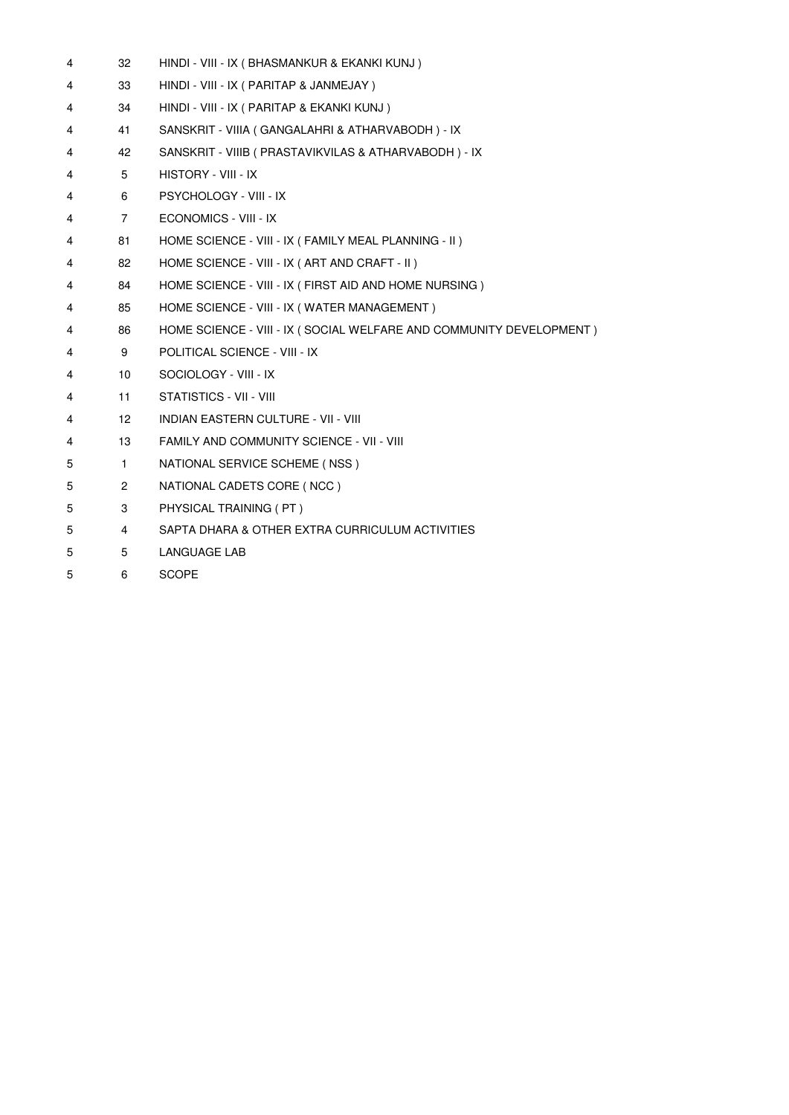| 4 | 32                   | HINDI - VIII - IX ( BHASMANKUR & EKANKI KUNJ )                      |
|---|----------------------|---------------------------------------------------------------------|
| 4 | 33                   | HINDI - VIII - IX ( PARITAP & JANMEJAY )                            |
| 4 | 34                   | HINDI - VIII - IX ( PARITAP & EKANKI KUNJ )                         |
| 4 | 41                   | SANSKRIT - VIIIA (GANGALAHRI & ATHARVABODH) - IX                    |
| 4 | 42                   | SANSKRIT - VIIIB ( PRASTAVIKVILAS & ATHARVABODH ) - IX              |
| 4 | 5                    | HISTORY - VIII - IX                                                 |
| 4 | 6                    | PSYCHOLOGY - VIII - IX                                              |
| 4 | $\overline{7}$       | ECONOMICS - VIII - IX                                               |
| 4 | 81                   | HOME SCIENCE - VIII - IX ( FAMILY MEAL PLANNING - II )              |
| 4 | 82                   | HOME SCIENCE - VIII - IX (ART AND CRAFT - II)                       |
| 4 | 84                   | HOME SCIENCE - VIII - IX ( FIRST AID AND HOME NURSING )             |
| 4 | 85                   | HOME SCIENCE - VIII - IX (WATER MANAGEMENT)                         |
| 4 | 86                   | HOME SCIENCE - VIII - IX (SOCIAL WELFARE AND COMMUNITY DEVELOPMENT) |
| 4 | 9                    | POLITICAL SCIENCE - VIII - IX                                       |
| 4 | 10                   | SOCIOLOGY - VIII - IX                                               |
| 4 | 11                   | STATISTICS - VII - VIII                                             |
| 4 | 12 <sup>2</sup>      | INDIAN EASTERN CULTURE - VII - VIII                                 |
| 4 | 13                   | <b>FAMILY AND COMMUNITY SCIENCE - VII - VIII</b>                    |
| 5 | $\mathbf{1}$         | NATIONAL SERVICE SCHEME (NSS)                                       |
| 5 | $\mathbf{2}^{\circ}$ | NATIONAL CADETS CORE (NCC)                                          |
| 5 | 3                    | PHYSICAL TRAINING (PT)                                              |
| 5 | 4                    | SAPTA DHARA & OTHER EXTRA CURRICULUM ACTIVITIES                     |
| 5 | 5                    | <b>LANGUAGE LAB</b>                                                 |
| 5 | 6                    | <b>SCOPE</b>                                                        |
|   |                      |                                                                     |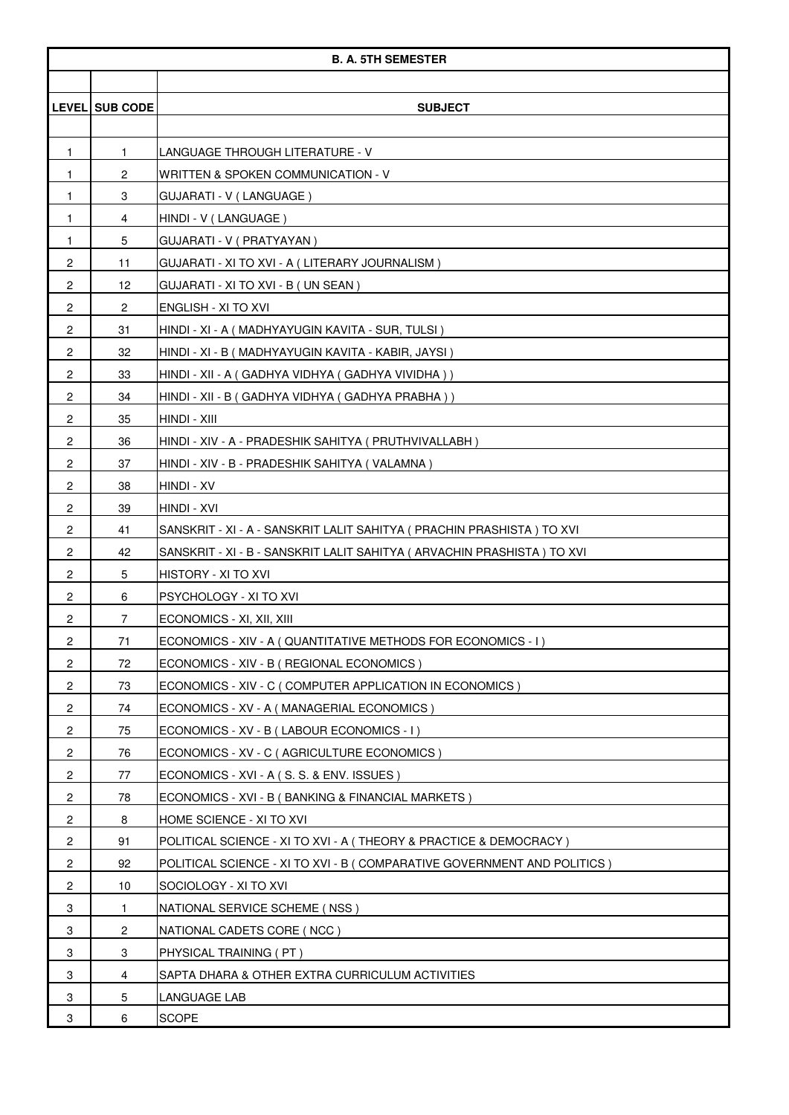|                         | <b>B. A. 5TH SEMESTER</b> |                                                                           |  |
|-------------------------|---------------------------|---------------------------------------------------------------------------|--|
|                         |                           |                                                                           |  |
|                         | LEVEL SUB CODE            | <b>SUBJECT</b>                                                            |  |
|                         |                           |                                                                           |  |
| 1                       | $\mathbf{1}$              | LANGUAGE THROUGH LITERATURE - V                                           |  |
| $\mathbf{1}$            | $\overline{c}$            | WRITTEN & SPOKEN COMMUNICATION - V                                        |  |
| 1                       | 3                         | GUJARATI - V (LANGUAGE)                                                   |  |
| 1                       | 4                         | HINDI - V (LANGUAGE)                                                      |  |
| $\mathbf{1}$            | 5                         | GUJARATI - V (PRATYAYAN)                                                  |  |
| $\overline{c}$          | 11                        | GUJARATI - XI TO XVI - A ( LITERARY JOURNALISM )                          |  |
| $\overline{c}$          | 12                        | GUJARATI - XI TO XVI - B (UN SEAN)                                        |  |
| $\overline{c}$          | 2                         | ENGLISH - XI TO XVI                                                       |  |
| $\overline{c}$          | 31                        | HINDI - XI - A ( MADHYAYUGIN KAVITA - SUR, TULSI )                        |  |
| $\overline{\mathbf{c}}$ | 32                        | HINDI - XI - B ( MADHYAYUGIN KAVITA - KABIR, JAYSI )                      |  |
| $\overline{c}$          | 33                        | HINDI - XII - A ( GADHYA VIDHYA ( GADHYA VIVIDHA ) )                      |  |
| $\overline{c}$          | 34                        | HINDI - XII - B ( GADHYA VIDHYA ( GADHYA PRABHA ) )                       |  |
| $\overline{c}$          | 35                        | HINDI - XIII                                                              |  |
| $\overline{c}$          | 36                        | HINDI - XIV - A - PRADESHIK SAHITYA ( PRUTHVIVALLABH )                    |  |
| $\overline{\mathbf{c}}$ | 37                        | HINDI - XIV - B - PRADESHIK SAHITYA (VALAMNA)                             |  |
| $\overline{c}$          | 38                        | HINDI - XV                                                                |  |
| $\overline{c}$          | 39                        | HINDI - XVI                                                               |  |
| $\overline{c}$          | 41                        | SANSKRIT - XI - A - SANSKRIT LALIT SAHITYA ( PRACHIN PRASHISTA ) TO XVI   |  |
| $\overline{2}$          | 42                        | SANSKRIT - XI - B - SANSKRIT LALIT SAHITYA ( ARVACHIN PRASHISTA ) TO XVI  |  |
| $\overline{c}$          | 5                         | HISTORY - XI TO XVI                                                       |  |
| $\overline{c}$          | 6                         | PSYCHOLOGY - XI TO XVI                                                    |  |
| $\overline{c}$          | $\overline{7}$            | ECONOMICS - XI, XII, XIII                                                 |  |
| 2                       | 71                        | ECONOMICS - XIV - A (QUANTITATIVE METHODS FOR ECONOMICS - I)              |  |
| $\overline{2}$          | 72                        | ECONOMICS - XIV - B ( REGIONAL ECONOMICS )                                |  |
| $\overline{\mathbf{c}}$ | 73                        | ECONOMICS - XIV - C (COMPUTER APPLICATION IN ECONOMICS)                   |  |
| $\overline{c}$          | 74                        | ECONOMICS - XV - A (MANAGERIAL ECONOMICS)                                 |  |
| $\overline{c}$          | 75                        | ECONOMICS - XV - B (LABOUR ECONOMICS - I)                                 |  |
| $\overline{c}$          | 76                        | ECONOMICS - XV - C (AGRICULTURE ECONOMICS)                                |  |
| $\overline{c}$          | 77                        | ECONOMICS - XVI - A (S. S. & ENV. ISSUES)                                 |  |
| $\overline{\mathbf{c}}$ | 78                        | ECONOMICS - XVI - B (BANKING & FINANCIAL MARKETS)                         |  |
| $\overline{c}$          | 8                         | HOME SCIENCE - XI TO XVI                                                  |  |
| $\overline{c}$          | 91                        | POLITICAL SCIENCE - XI TO XVI - A (THEORY & PRACTICE & DEMOCRACY)         |  |
| $\overline{c}$          | 92                        | POLITICAL SCIENCE - XI TO XVI - B ( COMPARATIVE GOVERNMENT AND POLITICS ) |  |
| $\overline{c}$          | 10                        | SOCIOLOGY - XI TO XVI                                                     |  |
| 3                       | $\mathbf{1}$              | NATIONAL SERVICE SCHEME (NSS)                                             |  |
| 3                       | 2                         | NATIONAL CADETS CORE (NCC)                                                |  |
| 3                       | 3                         | PHYSICAL TRAINING (PT)                                                    |  |
| 3                       | 4                         | SAPTA DHARA & OTHER EXTRA CURRICULUM ACTIVITIES                           |  |
| 3                       | 5                         | LANGUAGE LAB                                                              |  |
| 3                       | 6                         | <b>SCOPE</b>                                                              |  |